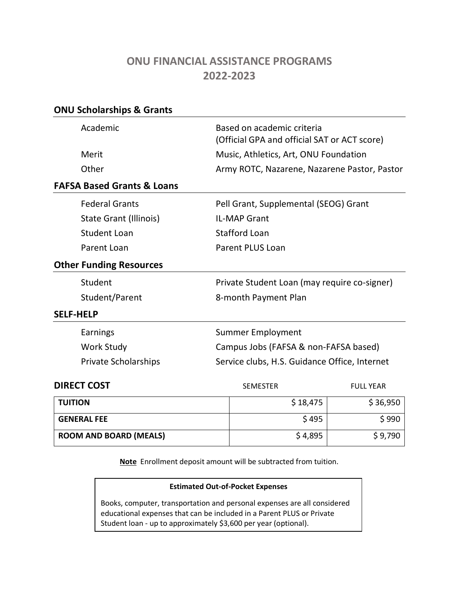# **ONU FINANCIAL ASSISTANCE PROGRAMS 2022-2023**

| <b>ONU Scholarships &amp; Grants</b>  |                                               |                                                                            |                  |  |
|---------------------------------------|-----------------------------------------------|----------------------------------------------------------------------------|------------------|--|
| Academic                              |                                               | Based on academic criteria<br>(Official GPA and official SAT or ACT score) |                  |  |
| Merit                                 |                                               | Music, Athletics, Art, ONU Foundation                                      |                  |  |
| Other                                 | Army ROTC, Nazarene, Nazarene Pastor, Pastor  |                                                                            |                  |  |
| <b>FAFSA Based Grants &amp; Loans</b> |                                               |                                                                            |                  |  |
| <b>Federal Grants</b>                 |                                               | Pell Grant, Supplemental (SEOG) Grant                                      |                  |  |
| State Grant (Illinois)                |                                               | <b>IL-MAP Grant</b>                                                        |                  |  |
| <b>Student Loan</b>                   | <b>Stafford Loan</b>                          |                                                                            |                  |  |
| Parent Loan                           | <b>Parent PLUS Loan</b>                       |                                                                            |                  |  |
| <b>Other Funding Resources</b>        |                                               |                                                                            |                  |  |
| Student                               |                                               | Private Student Loan (may require co-signer)                               |                  |  |
| Student/Parent                        | 8-month Payment Plan                          |                                                                            |                  |  |
| <b>SELF-HELP</b>                      |                                               |                                                                            |                  |  |
| Earnings                              | <b>Summer Employment</b>                      |                                                                            |                  |  |
| <b>Work Study</b>                     | Campus Jobs (FAFSA & non-FAFSA based)         |                                                                            |                  |  |
| <b>Private Scholarships</b>           | Service clubs, H.S. Guidance Office, Internet |                                                                            |                  |  |
| <b>DIRECT COST</b>                    |                                               | <b>SEMESTER</b>                                                            | <b>FULL YEAR</b> |  |
| <b>TUITION</b>                        |                                               | \$18,475                                                                   | \$36,950         |  |
| <b>GENERAL FEE</b>                    |                                               | \$495                                                                      | \$990            |  |

**Note** Enrollment deposit amount will be subtracted from tuition.

**ROOM AND BOARD (MEALS)** \$ 4,895 \$ 9,790

#### **Estimated Out-of-Pocket Expenses**

Books, computer, transportation and personal expenses are all considered educational expenses that can be included in a Parent PLUS or Private Student loan - up to approximately \$3,600 per year (optional).